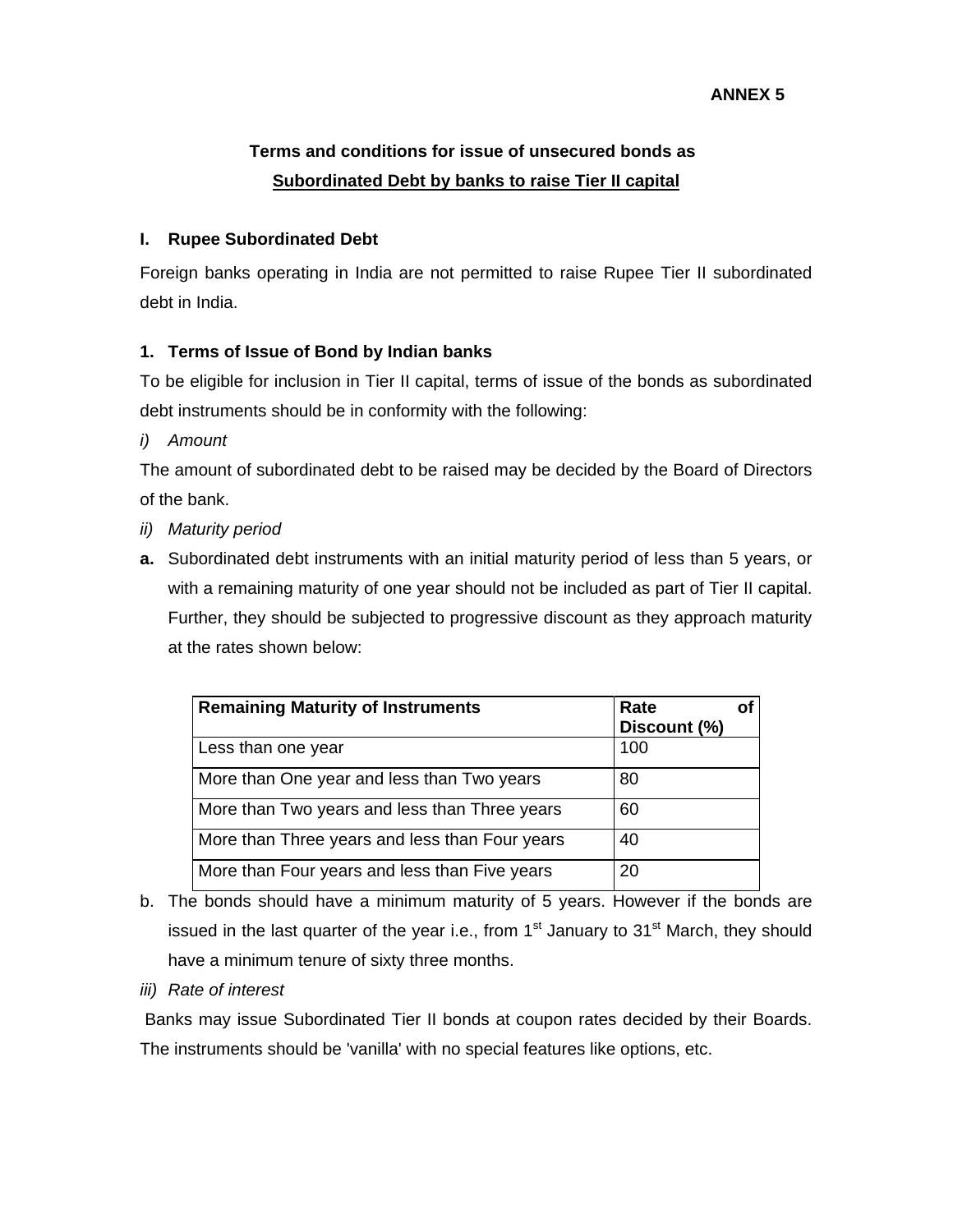# **Terms and conditions for issue of unsecured bonds as Subordinated Debt by banks to raise Tier II capital**

#### **I. Rupee Subordinated Debt**

Foreign banks operating in India are not permitted to raise Rupee Tier II subordinated debt in India.

#### **1. Terms of Issue of Bond by Indian banks**

To be eligible for inclusion in Tier II capital, terms of issue of the bonds as subordinated debt instruments should be in conformity with the following:

*i) Amount* 

The amount of subordinated debt to be raised may be decided by the Board of Directors of the bank.

- *ii) Maturity period*
- **a.** Subordinated debt instruments with an initial maturity period of less than 5 years, or with a remaining maturity of one year should not be included as part of Tier II capital. Further, they should be subjected to progressive discount as they approach maturity at the rates shown below:

| <b>Remaining Maturity of Instruments</b>       | Rate<br>Discount (%) |  |
|------------------------------------------------|----------------------|--|
| Less than one year                             | 100                  |  |
| More than One year and less than Two years     | 80                   |  |
| More than Two years and less than Three years  | 60                   |  |
| More than Three years and less than Four years | 40                   |  |
| More than Four years and less than Five years  | 20                   |  |

- b. The bonds should have a minimum maturity of 5 years. However if the bonds are issued in the last quarter of the year i.e., from  $1<sup>st</sup>$  January to  $31<sup>st</sup>$  March, they should have a minimum tenure of sixty three months.
- *iii) Rate of interest*

 Banks may issue Subordinated Tier II bonds at coupon rates decided by their Boards. The instruments should be 'vanilla' with no special features like options, etc.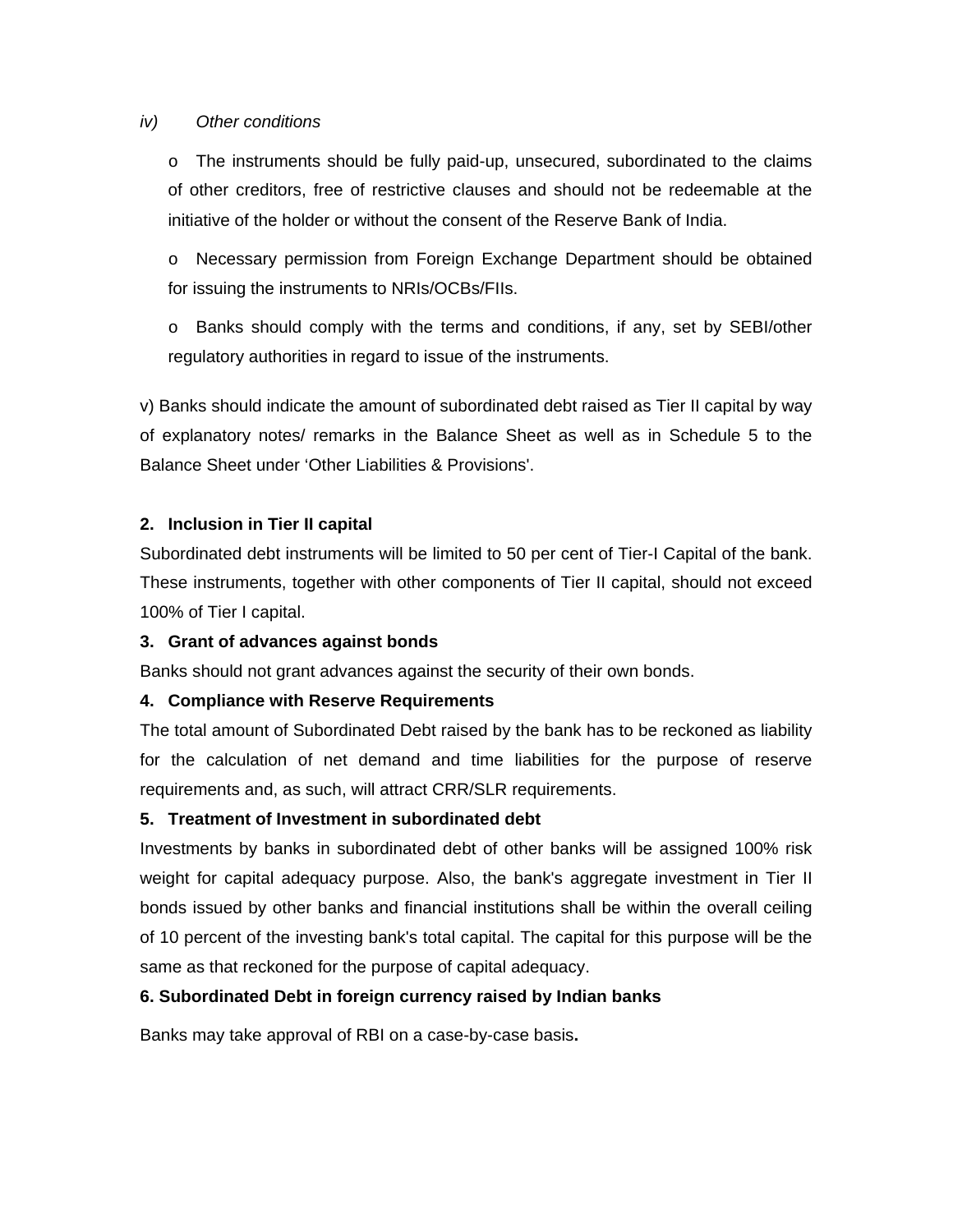#### *iv) Other conditions*

o The instruments should be fully paid-up, unsecured, subordinated to the claims of other creditors, free of restrictive clauses and should not be redeemable at the initiative of the holder or without the consent of the Reserve Bank of India.

o Necessary permission from Foreign Exchange Department should be obtained for issuing the instruments to NRIs/OCBs/FIIs.

o Banks should comply with the terms and conditions, if any, set by SEBI/other regulatory authorities in regard to issue of the instruments.

v) Banks should indicate the amount of subordinated debt raised as Tier II capital by way of explanatory notes/ remarks in the Balance Sheet as well as in Schedule 5 to the Balance Sheet under 'Other Liabilities & Provisions'.

#### **2. Inclusion in Tier II capital**

Subordinated debt instruments will be limited to 50 per cent of Tier-I Capital of the bank. These instruments, together with other components of Tier II capital, should not exceed 100% of Tier I capital.

#### **3. Grant of advances against bonds**

Banks should not grant advances against the security of their own bonds.

#### **4. Compliance with Reserve Requirements**

The total amount of Subordinated Debt raised by the bank has to be reckoned as liability for the calculation of net demand and time liabilities for the purpose of reserve requirements and, as such, will attract CRR/SLR requirements.

## **5. Treatment of Investment in subordinated debt**

Investments by banks in subordinated debt of other banks will be assigned 100% risk weight for capital adequacy purpose. Also, the bank's aggregate investment in Tier II bonds issued by other banks and financial institutions shall be within the overall ceiling of 10 percent of the investing bank's total capital. The capital for this purpose will be the same as that reckoned for the purpose of capital adequacy.

## **6. Subordinated Debt in foreign currency raised by Indian banks**

Banks may take approval of RBI on a case-by-case basis**.**